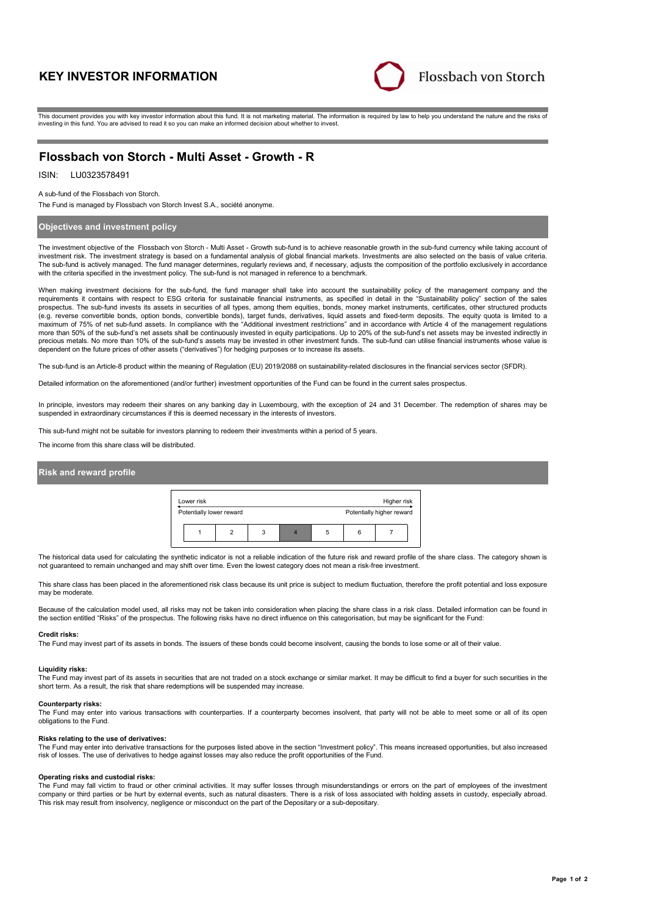# **KEY INVESTOR INFORMATION**



This document provides you with key investor information about this fund. It is not marketing material. The information is required by law to help you understand the nature and the risks of investing in this fund. You are advised to read it so you can make an informed decision about whether to invest.

## **Flossbach von Storch - Multi Asset - Growth - R**

#### LU0323578491 ISIN:

A sub-fund of the Flossbach von Storch.

The Fund is managed by Flossbach von Storch Invest S.A., société anonyme.

## **Objectives and investment policy**

The investment objective of the Flossbach von Storch - Multi Asset - Growth sub-fund is to achieve reasonable growth in the sub-fund currency while taking account of investment risk. The investment strategy is based on a fundamental analysis of global financial markets. Investments are also selected on the basis of value criteria. The sub-fund is actively managed. The fund manager determines, regularly reviews and, if necessary, adjusts the composition of the portfolio exclusively in accordance with the criteria specified in the investment policy. The sub-fund is not managed in reference to a benchmark.

When making investment decisions for the sub-fund, the fund manager shall take into account the sustainability policy of the management company and the requirements it contains with respect to ESG criteria for sustainable financial instruments, as specified in detail in the "Sustainability policy" section of the sales prospectus. The sub-fund invests its assets in securities of all types, among them equities, bonds, money market instruments, certificates, other structured products (e.g. reverse convertible bonds, option bonds, convertible bonds), target funds, derivatives, liquid assets and fixed-term deposits. The equity quota is limited to a<br>maximum of 75% of net sub-fund assets. In compliance wit more than 50% of the sub-fund's net assets shall be continuously invested in equity participations. Up to 20% of the sub-fund's net assets may be invested indirectly in precious metals. No more than 10% of the sub-fund's assets may be invested in other investment funds. The sub-fund can utilise financial instruments whose value is dependent on the future prices of other assets ("derivatives") for hedging purposes or to increase its assets.

The sub-fund is an Article-8 product within the meaning of Regulation (EU) 2019/2088 on sustainability-related disclosures in the financial services sector (SFDR).

Detailed information on the aforementioned (and/or further) investment opportunities of the Fund can be found in the current sales prospectus.

In principle, investors may redeem their shares on any banking day in Luxembourg, with the exception of 24 and 31 December. The redemption of shares may be suspended in extraordinary circumstances if this is deemed necessary in the interests of investors.

This sub-fund might not be suitable for investors planning to redeem their investments within a period of 5 years.

The income from this share class will be distributed.

## **Risk and reward profile**



The historical data used for calculating the synthetic indicator is not a reliable indication of the future risk and reward profile of the share class. The category shown is not guaranteed to remain unchanged and may shift over time. Even the lowest category does not mean a risk-free investment.

This share class has been placed in the aforementioned risk class because its unit price is subject to medium fluctuation, therefore the profit potential and loss exposure may be moderate.

Because of the calculation model used, all risks may not be taken into consideration when placing the share class in a risk class. Detailed information can be found in the section entitled "Risks" of the prospectus. The following risks have no direct influence on this categorisation, but may be significant for the Fund:

#### **Credit risks:**

The Fund may invest part of its assets in bonds. The issuers of these bonds could become insolvent, causing the bonds to lose some or all of their value.

### **Liquidity risks:**

The Fund may invest part of its assets in securities that are not traded on a stock exchange or similar market. It may be difficult to find a buyer for such securities in the short term. As a result, the risk that share redemptions will be suspended may increase.

#### **Counterparty risks:**

The Fund may enter into various transactions with counterparties. If a counterparty becomes insolvent, that party will not be able to meet some or all of its open obligations to the Fund.

### **Risks relating to the use of derivatives:**

The Fund may enter into derivative transactions for the purposes listed above in the section "Investment policy". This means increased opportunities, but also increased risk of losses. The use of derivatives to hedge against losses may also reduce the profit opportunities of the Fund.

### **Operating risks and custodial risks:**

The Fund may fall victim to fraud or other criminal activities. It may suffer losses through misunderstandings or errors on the part of employees of the investment company or third parties or be hurt by external events, such as natural disasters. There is a risk of loss associated with holding assets in custody, especially abroad. This risk may result from insolvency, negligence or misconduct on the part of the Depositary or a sub-depositary.